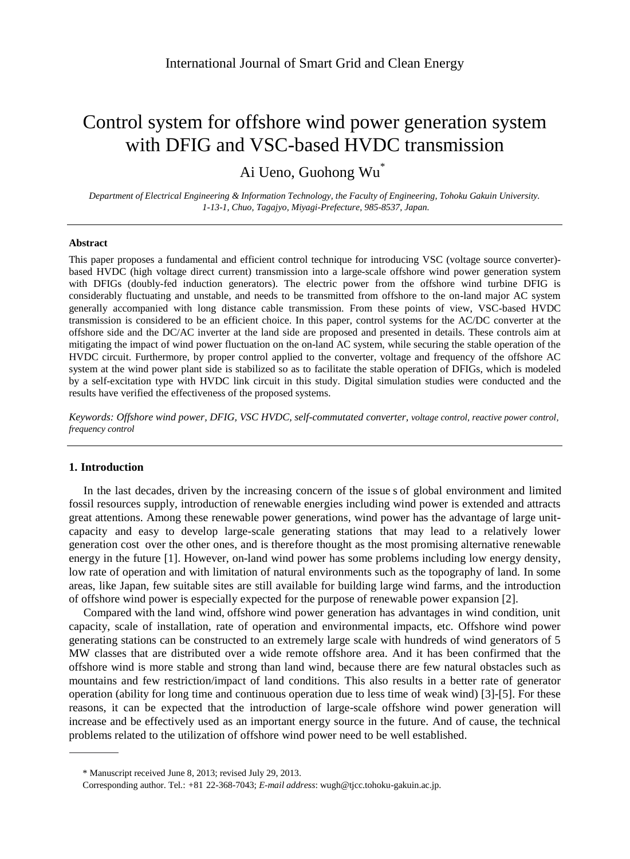# Control system for offshore wind power generation system with DFIG and VSC-based HVDC transmission

Ai Ueno, Guohong Wu<sup>\*</sup>

*Department of Electrical Engineering & Information Technology, the Faculty of Engineering, Tohoku Gakuin University. 1-13-1, Chuo, Tagajyo, Miyagi-Prefecture, 985-8537, Japan.*

#### **Abstract**

This paper proposes a fundamental and efficient control technique for introducing VSC (voltage source converter) based HVDC (high voltage direct current) transmission into a large-scale offshore wind power generation system with DFIGs (doubly-fed induction generators). The electric power from the offshore wind turbine DFIG is considerably fluctuating and unstable, and needs to be transmitted from offshore to the on-land major AC system generally accompanied with long distance cable transmission. From these points of view, VSC-based HVDC transmission is considered to be an efficient choice. In this paper, control systems for the AC/DC converter at the offshore side and the DC/AC inverter at the land side are proposed and presented in details. These controls aim at mitigating the impact of wind power fluctuation on the on-land AC system, while securing the stable operation of the HVDC circuit. Furthermore, by proper control applied to the converter, voltage and frequency of the offshore AC system at the wind power plant side is stabilized so as to facilitate the stable operation of DFIGs, which is modeled by a self-excitation type with HVDC link circuit in this study. Digital simulation studies were conducted and the results have verified the effectiveness of the proposed systems.

*Keywords: Offshore wind power, DFIG, VSC HVDC, self-commutated converter, voltage control, reactive power control, frequency control*

# **1. Introduction**

In the last decades, driven by the increasing concern of the issue s of global environment and limited fossil resources supply, introduction of renewable energies including wind power is extended and attracts great attentions. Among these renewable power generations, wind power has the advantage of large unitcapacity and easy to develop large-scale generating stations that may lead to a relatively lower generation cost over the other ones, and is therefore thought as the most promising alternative renewable energy in the future [1]. However, on-land wind power has some problems including low energy density, low rate of operation and with limitation of natural environments such as the topography of land. In some areas, like Japan, few suitable sites are still available for building large wind farms, and the introduction of offshore wind power is especially expected for the purpose of renewable power expansion [2].

Compared with the land wind , offshore wind power generation has advantages in wind condition, unit capacity, scale of installation, rate of operation and environmental impacts, etc. Offshore wind power generating stations can be constructed to an extremely large scale with hundreds of wind generators of 5 MW classes that are distributed over a wide remote offshore area. And it has been confirmed that the offshore wind is more stable and strong than land wind, because there are few natural obstacles such as mountains and few restriction/impact of land conditions. This also results in a better rate of generator operation (ability for long time and continuous operation due to less time of weak wind) [3]-[5]. For these reasons, it can be expected that the introduction of large-scale offshore wind power generation will increase and be effectively used as an important energy source in the future. And of cause, the technical problems related to the utilization of offshore wind power need to be well established.

<sup>\*</sup> Manuscript received June 8, 2013; revised July 29, 2013.

Corresponding author. Tel.: +81 22-368-7043; *E-mail address*: wugh@tjcc.tohoku-gakuin.ac.jp.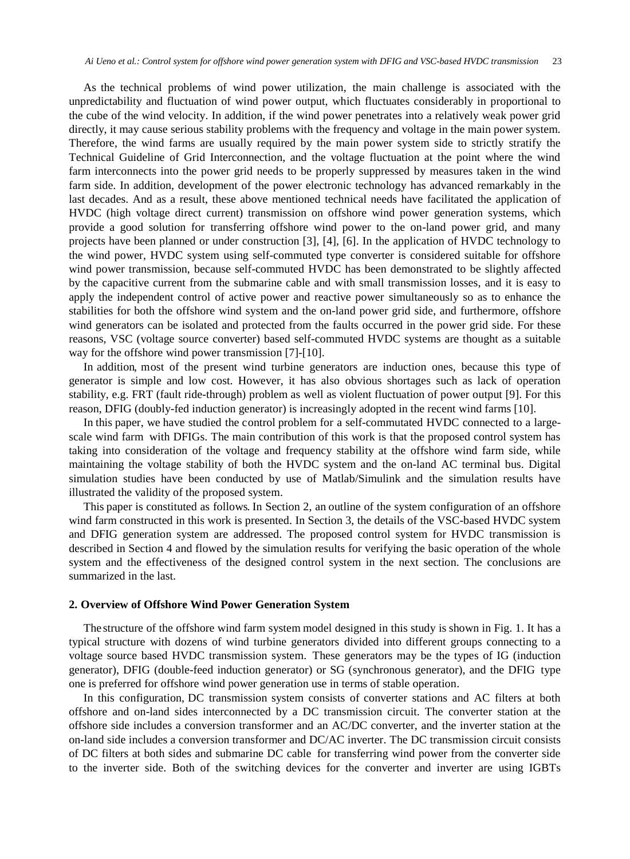As the technical problems of wind power utilization, the main challenge is associated with the unpredictability and fluctuation of wind power output, which fluctuates considerably in proportional to the cube of the wind velocity. In addition, if the wind power penetrates into a relatively weak power grid directly, it may cause serious stability problems with the frequency and voltage in the main power system. Therefore, the wind farms are usually required by the main power system side to strictly stratify the Technical Guideline of Grid Interconnection, and the voltage fluctuation at the point where the wind farm interconnects into the power grid needs to be properly suppressed by measures taken in the wind farm side. In addition, development of the power electronic technology has advanced remarkably in the last decades. And as a result, these above mentioned technical needs have facilitated the application of HVDC (high voltage direct current) transmission on offshore wind power generation systems, which provide a good solution for transferring offshore wind power to the on-land power grid, and many projects have been planned or under construction [3], [4], [6]. In the application of HVDC technology to the wind power, HVDC system using self-commuted type converter is considered suitable for offshore wind power transmission, because self-commuted HVDC has been demonstrated to be slightly affected by the capacitive current from the submarine cable and with small transmission losses, and it is easy to apply the independent control of active power and reactive power simultaneously so as to enhance the stabilities for both the offshore wind system and the on-land power grid side, and furthermore, offshore wind generators can be isolated and protected from the faults occurred in the power grid side. For these reasons, VSC (voltage source converter) based self-commuted HVDC systems are thought as a suitable way for the offshore wind power transmission [7]-[10].

In addition, most of the present wind turbine generators are induction ones, because this type of generator is simple and low cost. However, it has also obvious shortages such as lack of operation stability, e.g. FRT (fault ride-through) problem as well as violent fluctuation of power output [9]. For this reason, DFIG (doubly-fed induction generator) is increasingly adopted in the recent wind farms [10].

In this paper, we have studied the control problem for a self-commutated HVDC connected to a largescale wind farm with DFIGs. The main contribution of this work is that the proposed control system has taking into consideration of the voltage and frequency stability at the offshore wind farm side, while maintaining the voltage stability of both the HVDC system and the on-land AC terminal bus. Digital simulation studies have been conducted by use of Matlab/Simulink and the simulation results have illustrated the validity of the proposed system.

This paper is constituted as follows. In Section 2, an outline of the system configuration of an offshore wind farm constructed in this work is presented. In Section 3, the details of the VSC-based HVDC system and DFIG generation system are addressed. The proposed control system for HVDC transmission is described in Section 4 and flowed by the simulation results for verifying the basic operation of the whole system and the effectiveness of the designed control system in the next section. The conclusions are summarized in the last.

#### **2. Overview of Offshore Wind Power Generation System**

The structure of the offshore wind farm system model designed in this study is shown in Fig. 1. It has a typical structure with dozens of wind turbine generators divided into different groups connecting to a voltage source based HVDC transmission system. These generators may be the types of IG (induction generator), DFIG (double-feed induction generator) or SG (synchronous generator), and the DFIG type one is preferred for offshore wind power generation use in terms of stable operation.

In this configuration, DC transmission system consists of converter stations and AC filters at both offshore and on-land sides interconnected by a DC transmission circuit. The converter station at the offshore side includes a conversion transformer and an AC/DC converter, and the inverter station at the on-land side includes a conversion transformer and DC/AC inverter. The DC transmission circuit consists of DC filters at both sides and submarine DC cable for transferring wind power from the converter side to the inverter side. Both of the switching devices for the converter and inverter are using IGBTs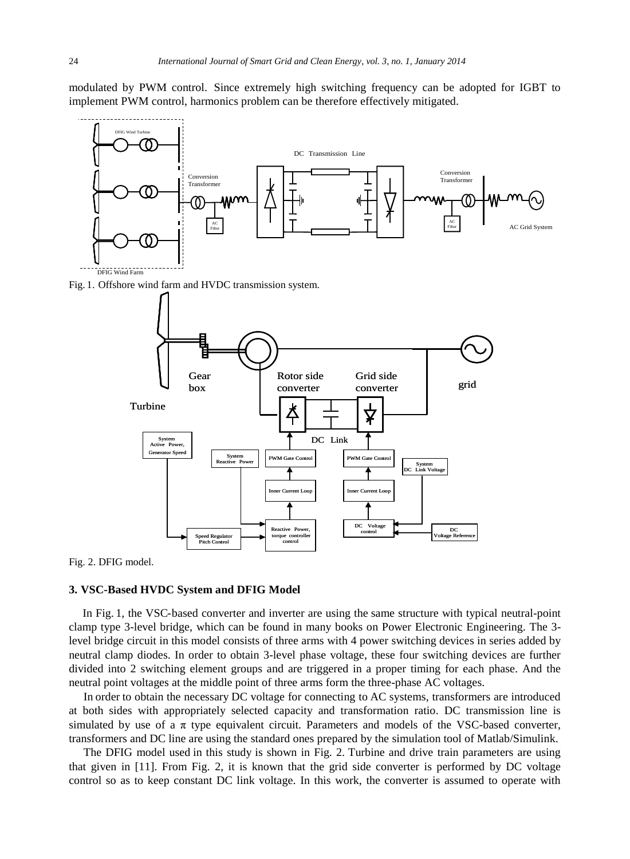modulated by PWM control. Since extremely high switching frequency can be adopted for IGBT to implement PWM control, harmonics problem can be therefore effectively mitigated.



Fig. 2. DFIG model.

# **3. VSC-Based HVDC System and DFIG Model**

In Fig. 1, the VSC-based converter and inverter are using the same structure with typical neutral-point clamp type 3-level bridge, which can be found in many books on Power Electronic Engineering. The 3 level bridge circuit in this model consists of three arms with 4 power switching devices in series added by neutral clamp diodes. In order to obtain 3-level phase voltage, these four switching devices are further divided into 2 switching element groups and are triggered in a proper timing for each phase. And the neutral point voltages at the middle point of three arms form the three-phase AC voltages.

In order to obtain the necessary DC voltage for connecting to AC systems, transformers are introduced at both sides with appropriately selected capacity and transformation ratio. DC transmission line is simulated by use of a  $\pi$  type equivalent circuit. Parameters and models of the VSC-based converter, transformers and DC line are using the standard ones prepared by the simulation tool of Matlab/Simulink.

The DFIG model used in this study is shown in Fig. 2. Turbine and drive train parameters are using that given in [11]. From Fig. 2, it is known that the grid side converter is performed by DC voltage control so as to keep constant DC link voltage. In this work, the converter is assumed to operate with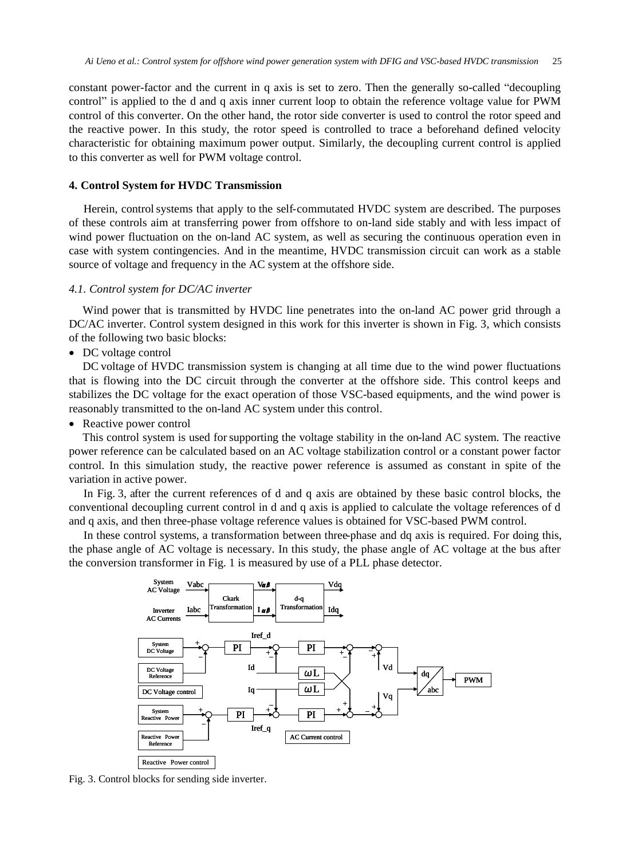constant power-factor and the current in q axis is set to zero. Then the generally so-called "decoupling control" is applied to the d and q axis inner current loop to obtain the reference voltage value for PWM control of this converter. On the other hand, the rotor side converter is used to control the rotor speed and the reactive power. In this study, the rotor speed is controlled to trace a beforehand defined velocity characteristic for obtaining maximum power output. Similarly, the decoupling current control is applied to this converter as well for PWM voltage control.

## **4. Control System for HVDC Transmission**

Herein, control systems that apply to the self-commutated HVDC system are described. The purposes of these controls aim at transferring power from offshore to on-land side stably and with less impact of wind power fluctuation on the on-land AC system, as well as securing the continuous operation even in case with system contingencies. And in the meantime, HVDC transmission circuit can work as a stable source of voltage and frequency in the AC system at the offshore side.

## *4.1. Control system for DC/AC inverter*

Wind power that is transmitted by HVDC line penetrates into the on-land AC power grid through a DC/AC inverter. Control system designed in this work for this inverter is shown in Fig. 3, which consists of the following two basic blocks:

• DC voltage control

DC voltage of HVDC transmission system is changing at all time due to the wind power fluctuations that is flowing into the DC circuit through the converter at the offshore side. This control keeps and stabilizes the DC voltage for the exact operation of those VSC-based equipments, and the wind power is reasonably transmitted to the on-land AC system under this control.

• Reactive power control

This control system is used for supporting the voltage stability in the on-land AC system. The reactive power reference can be calculated based on an AC voltage stabilization control or a constant power factor control. In this simulation study, the reactive power reference is assumed as constant in spite of the variation in active power.

In Fig. 3, after the current references of d and q axis are obtained by these basic control blocks, the conventional decoupling current control in d and q axis is applied to calculate the voltage references of d and q axis, and then three-phase voltage reference values is obtained for VSC-based PWM control.

In these control systems, a transformation between three-phase and dq axis is required. For doing this, the phase angle of AC voltage is necessary. In this study, the phase angle of AC voltage at the bus after the conversion transformer in Fig. 1 is measured by use of a PLL phase detector.



Fig. 3. Control blocks for sending side inverter.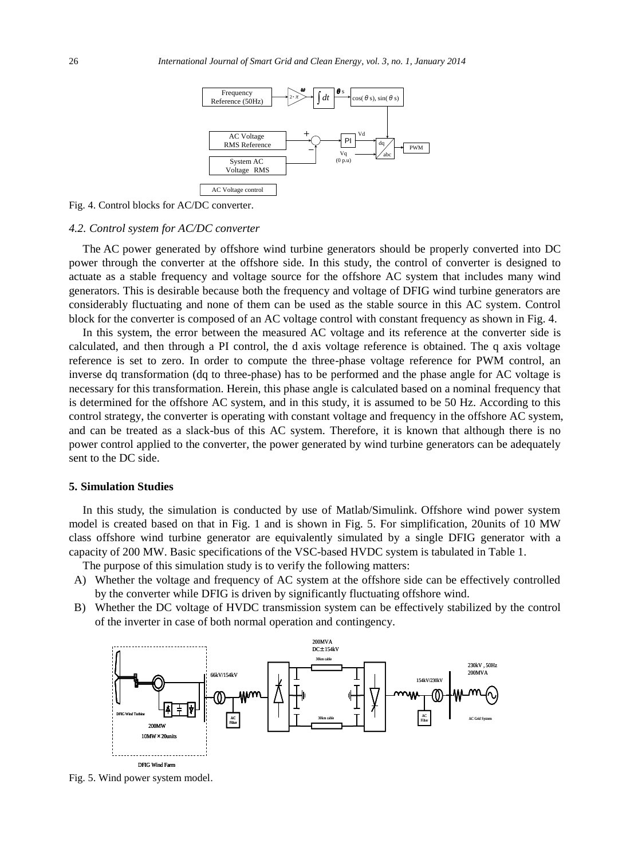

Fig. 4. Control blocks for AC/DC converter.

#### *4.2. Control system for AC/DC converter*

The AC power generated by offshore wind turbine generators should be properly converted into DC power through the converter at the offshore side. In this study, the control of converter is designed to actuate as a stable frequency and voltage source for the offshore AC system that includes many wind generators. This is desirable because both the frequency and voltage of DFIG wind turbine generators are considerably fluctuating and none of them can be used as the stable source in this AC system. Control block for the converter is composed of an AC voltage control with constant frequency as shown in Fig. 4.

In this system, the error between the measured AC voltage and its reference at the converter side is calculated, and then through a PI control, the d axis voltage reference is obtained. The q axis voltage reference is set to zero. In order to compute the three-phase voltage reference for PWM control, an inverse dq transformation (dq to three-phase) has to be performed and the phase angle for AC voltage is necessary for this transformation. Herein, this phase angle is calculated based on a nominal frequency that is determined for the offshore AC system, and in this study, it is assumed to be 50 Hz. According to this control strategy, the converter is operating with constant voltage and frequency in the offshore AC system, and can be treated as a slack-bus of this AC system. Therefore, it is known that although there is no power control applied to the converter, the power generated by wind turbine generators can be adequately sent to the DC side.

#### **5. Simulation Studies**

In this study , the simulation is conducted by use of Matlab/Simulink. Offshore wind power system model is created based on that in Fig. 1 and is shown in Fig. 5. For simplification, 20units of 10 MW class offshore wind turbine generator are equivalently simulated by a single DFIG generator with a capacity of 200 MW. Basic specifications of the VSC-based HVDC system is tabulated in Table 1.

The purpose of this simulation study is to verify the following matters:

- A) Whether the voltage and frequency of AC system at the offshore side can be effectively controlled by the converter while DFIG is driven by significantly fluctuating offshore wind.
- B) Whether the DC voltage of HVDC transmission system can be effectively stabilized by the control of the inverter in case of both normal operation and contingency.



Fig. 5. Wind power system model.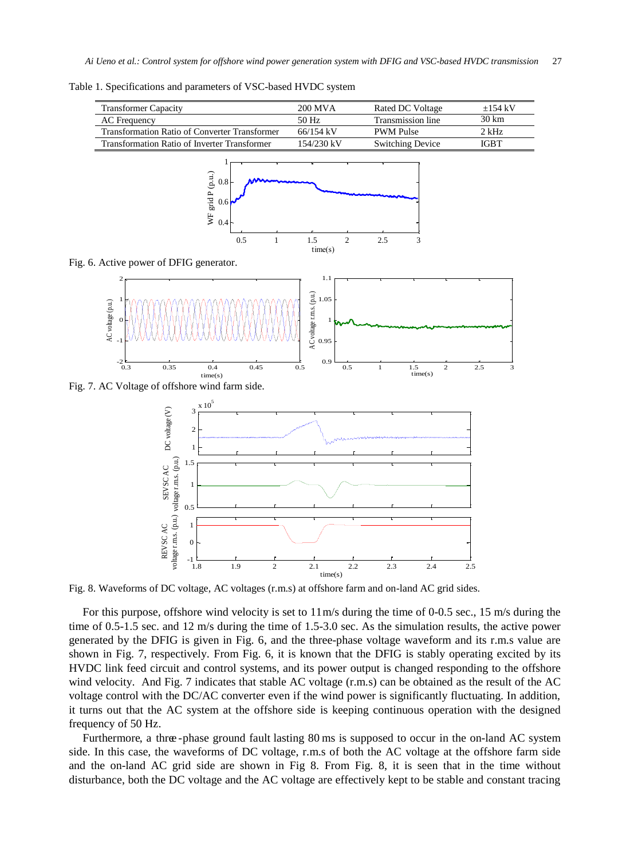Table 1. Specifications and parameters of VSC-based HVDC system

| <b>Transformer Capacity</b>                          | 200 MVA     | Rated DC Voltage        | $+154$ kV |
|------------------------------------------------------|-------------|-------------------------|-----------|
| <b>AC</b> Frequency                                  | 50 Hz       | Transmission line       | 30 km     |
| <b>Transformation Ratio of Converter Transformer</b> | $66/154$ kV | <b>PWM Pulse</b>        | $2$ kHz   |
| Transformation Ratio of Inverter Transformer         | 154/230 kV  | <b>Switching Device</b> | IGBT      |
|                                                      |             |                         |           |



Fig. 6. Active power of DFIG generator.



Fig. 7. AC Voltage of offshore wind farm side.



Fig. 8. Waveforms of DC voltage, AC voltages (r.m.s) at offshore farm and on-land AC grid sides.

For this purpose, offshore wind velocity is set to  $11 \text{ m/s}$  during the time of 0-0.5 sec., 15 m/s during the time of 0.5-1.5 sec. and 12 m/s during the time of 1.5-3.0 sec. As the simulation results, the active power generated by the DFIG is given in Fig. 6, and the three-phase voltage waveform and its r.m.s value are shown in Fig. 7, respectively. From Fig. 6, it is known that the DFIG is stably operating excited by its HVDC link feed circuit and control systems, and its power output is changed responding to the offshore wind velocity. And Fig. 7 indicates that stable AC voltage (r.m.s) can be obtained as the result of the AC voltage control with the DC/AC converter even if the wind power is significantly fluctuating. In addition, it turns out that the AC system at the offshore side is keeping continuous operation with the designed frequency of 50 Hz.

Furthermore, a three-phase ground fault lasting 80 ms is supposed to occur in the on-land AC system side. In this case, the waveforms of DC voltage, r.m.s of both the AC voltage at the offshore farm side and the on-land AC grid side are shown in Fig 8. From Fig. 8, it is seen that in the time without disturbance, both the DC voltage and the AC voltage are effectively kept to be stable and constant tracing